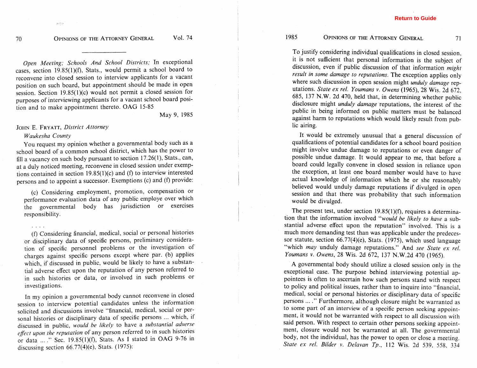## OPINIONS OF THE ATTORNEY GENERAL

71

To justify considering individual qualifications in closed session, it is not sufficient that personal information is the subject of discussion, even if public discussion of that information *might result in some damage to reputations.* The exception applies only where such discussion in open session might *unduly damage* reputations. *State ex rel. Youmans v. Owens* (1965), 28 Wis. 2d 672, 685, 137 N.W. 2d 470, held that, in determining whether public disclosure might *unduly damage* reputations, the interest of the public in being informed on public matters must be balanced against harm to reputations which would likely result from public airing.

It would be extremely unusual that a general discussion of qualifications of potential candidates for a school board position might involve undue damage to reputations or even danger of possible undue damage. It would appear to me, that before a board could legally convene in closed session in reliance upon the exception, at least one board member would have to have actual knowledge of information which he or she reasonably believed would unduly damage reputations if divulged in open session and that there was probability that such information would be divulged.

The present test, under section 19.85(1)(f), requires a determination that the information involved *"would be likely to have* a substantial adverse effect upon the reputation" involved. This is a much more demanding test than was applicable under the predecessor statute, section 66.77(4)(e), Stats. (1975), which used language "which *may* unduly damage reputations." And *see State ex rel. Youmans v. Owens,* 28 Wis. 2d 672, 137 N.W.2d 470 (1965).

A governmental body should utilize a closed session only in the exceptional case. The purpose behind interviewing potential appointees is often to ascertain how such persons stand with respect to policy and political issues, rather than to inquire into "financial, medical, social or personal histories or disciplinary data of specific persons ... ." Furthermore, although closure might be warranted as to some part of an interview of a specific person seeking appointment, it would not be warranted with respect to all discussion with said person. With respect to certain other persons seeking appointment, closure would not be warranted at all. The governmental body, not the individual, has the power to open or close a meeting. *State ex rel. Bilder v. Delavan Tp.,* 112 Wis. 2d 539, 558, 334

*Open Meeting; Schools And School Districts;* In exceptional cases, section 19.85(1)(f), Stats., would permit a school board to reconvene into closed session to interview applicants for a vacant position on such board, but appointment should be made in open session. Section 19.85(1)(c) would not permit a closed session for purposes of interviewing applicants for a vacant school board position and to make appointment thereto. OAG 15-85

May 9, 1985

Vol. 74

## JOHN E. FRYATT, *District Attorney*

## *Waukesha County*

**."a\*** 

You request my opinion whether a governmental body such as a school board of a common school district, which has the power to fill a vacancy on such body pursuant to section 17.26(1), Stats., can, at a duly noticed meeting, reconvene in closed session under exemptions contained in section 19.85(1)(c) and **(f)** to interview interested persons and to appoint a successor. Exemptions (c) and (f) provide:

(c) Considering employment, promotion, compensation or performance evaluation data of any public employe over which the governmental body has jurisdiction or exercises responsibility.

*(0* Considering financial, medical, social or personal histories or disciplinary data of specific persons, preliminary consideration of specific personnel problems or the investigation of charges against specific persons except where par. (b) applies which, if discussed in public, would be likely to have a substantial adverse effect upon the reputation of any person referred to in such histories or data, or involved in such problems or investigations.

In my opinion a governmental body cannot reconvene in closed session to interview potential candidates unless the information solicited and discussions involve "financial, medical, social or personal histories or disciplinary data of specific persons ... which, if discussed in public, *would be likely* to have a *substantial adverse*  effect upon the reputation of any person referred to in such histories or data ... ." Sec. 19.85(1)(f), Stats. As I stated in OAG 9-76 in discussing section 66,77(4)(e), Stats. (1975):

 $70$